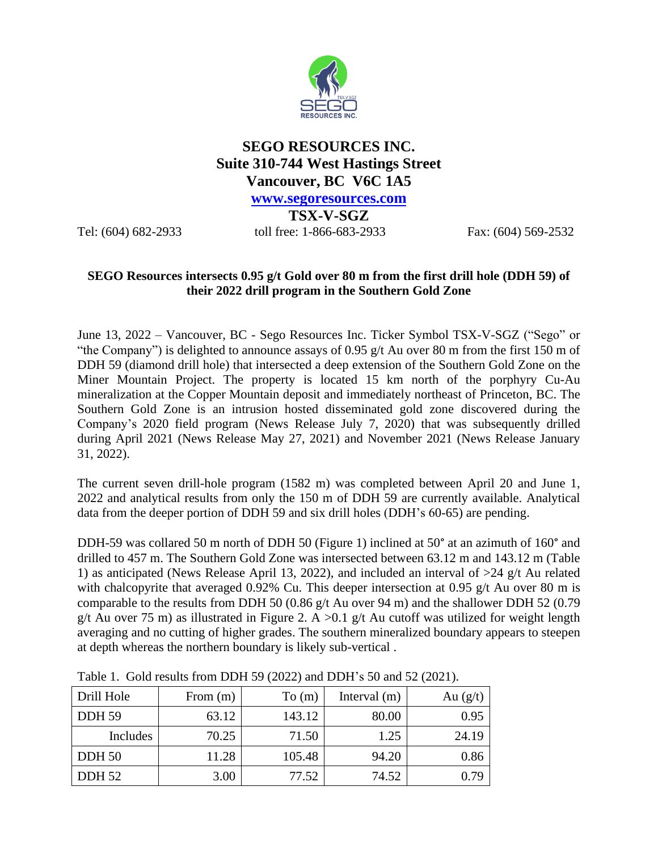

## **SEGO RESOURCES INC. Suite 310-744 West Hastings Street Vancouver, BC V6C 1A5**

**[www.segoresources.com](http://www.segoresources.com/)**

**TSX-V-SGZ** Tel: (604) 682-2933 toll free: 1-866-683-2933 Fax: (604) 569-2532

## **SEGO Resources intersects 0.95 g/t Gold over 80 m from the first drill hole (DDH 59) of their 2022 drill program in the Southern Gold Zone**

June 13, 2022 – Vancouver, BC - Sego Resources Inc. Ticker Symbol TSX-V-SGZ ("Sego" or "the Company") is delighted to announce assays of 0.95 g/t Au over 80 m from the first 150 m of DDH 59 (diamond drill hole) that intersected a deep extension of the Southern Gold Zone on the Miner Mountain Project. The property is located 15 km north of the porphyry Cu-Au mineralization at the Copper Mountain deposit and immediately northeast of Princeton, BC. The Southern Gold Zone is an intrusion hosted disseminated gold zone discovered during the Company's 2020 field program (News Release July 7, 2020) that was subsequently drilled during April 2021 (News Release May 27, 2021) and November 2021 (News Release January 31, 2022).

The current seven drill-hole program (1582 m) was completed between April 20 and June 1, 2022 and analytical results from only the 150 m of DDH 59 are currently available. Analytical data from the deeper portion of DDH 59 and six drill holes (DDH's 60-65) are pending.

DDH-59 was collared 50 m north of DDH 50 (Figure 1) inclined at 50° at an azimuth of 160° and drilled to 457 m. The Southern Gold Zone was intersected between 63.12 m and 143.12 m (Table 1) as anticipated (News Release April 13, 2022), and included an interval of  $>24$  g/t Au related with chalcopyrite that averaged 0.92% Cu. This deeper intersection at 0.95 g/t Au over 80 m is comparable to the results from DDH 50 (0.86 g/t Au over 94 m) and the shallower DDH 52 (0.79 g/t Au over 75 m) as illustrated in Figure 2. A  $>0.1$  g/t Au cutoff was utilized for weight length averaging and no cutting of higher grades. The southern mineralized boundary appears to steepen at depth whereas the northern boundary is likely sub-vertical .

| Drill Hole    | From $(m)$ | To (m) | Interval $(m)$ | Au $(g/t)$ |
|---------------|------------|--------|----------------|------------|
| <b>DDH 59</b> | 63.12      | 143.12 | 80.00          | 0.95       |
| Includes      | 70.25      | 71.50  | 1.25           | 24.19      |
| <b>DDH 50</b> | 11.28      | 105.48 | 94.20          | 0.86       |
| <b>DDH 52</b> | 3.00       | 77.52  | 74.52          | 0.79       |

Table 1. Gold results from DDH 59 (2022) and DDH's 50 and 52 (2021).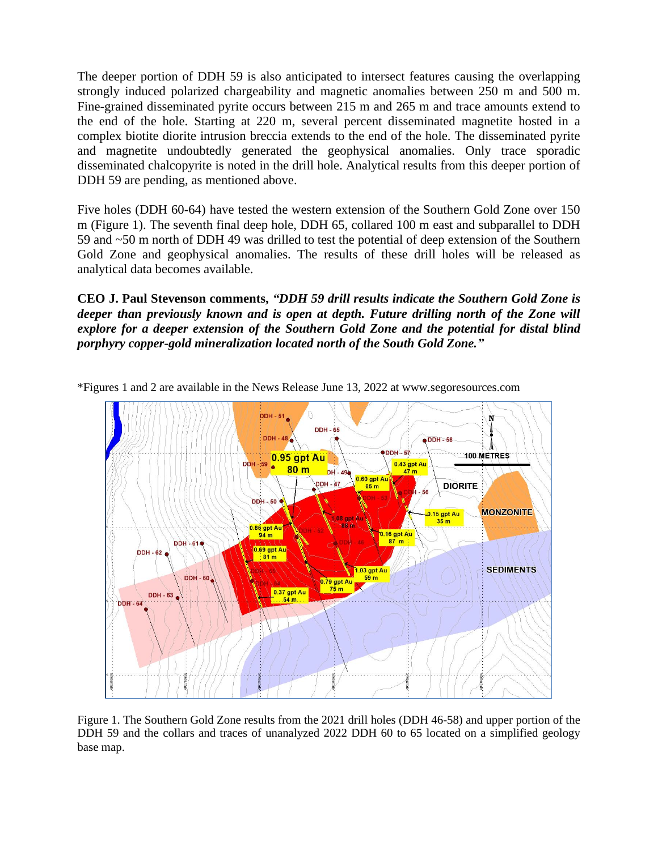The deeper portion of DDH 59 is also anticipated to intersect features causing the overlapping strongly induced polarized chargeability and magnetic anomalies between 250 m and 500 m. Fine-grained disseminated pyrite occurs between 215 m and 265 m and trace amounts extend to the end of the hole. Starting at 220 m, several percent disseminated magnetite hosted in a complex biotite diorite intrusion breccia extends to the end of the hole. The disseminated pyrite and magnetite undoubtedly generated the geophysical anomalies. Only trace sporadic disseminated chalcopyrite is noted in the drill hole. Analytical results from this deeper portion of DDH 59 are pending, as mentioned above.

Five holes (DDH 60-64) have tested the western extension of the Southern Gold Zone over 150 m (Figure 1). The seventh final deep hole, DDH 65, collared 100 m east and subparallel to DDH 59 and ~50 m north of DDH 49 was drilled to test the potential of deep extension of the Southern Gold Zone and geophysical anomalies. The results of these drill holes will be released as analytical data becomes available.

**CEO J. Paul Stevenson comments,** *"DDH 59 drill results indicate the Southern Gold Zone is deeper than previously known and is open at depth. Future drilling north of the Zone will explore for a deeper extension of the Southern Gold Zone and the potential for distal blind porphyry copper-gold mineralization located north of the South Gold Zone."* 



\*Figures 1 and 2 are available in the News Release June 13, 2022 at www.segoresources.com

Figure 1. The Southern Gold Zone results from the 2021 drill holes (DDH 46-58) and upper portion of the DDH 59 and the collars and traces of unanalyzed 2022 DDH 60 to 65 located on a simplified geology base map.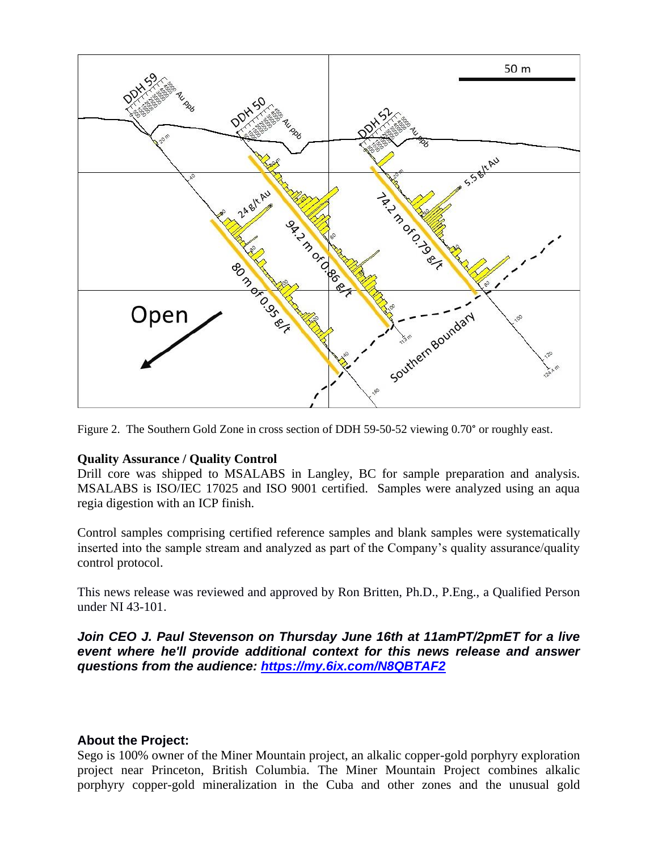

Figure 2. The Southern Gold Zone in cross section of DDH 59-50-52 viewing 0.70° or roughly east.

## **Quality Assurance / Quality Control**

Drill core was shipped to MSALABS in Langley, BC for sample preparation and analysis. MSALABS is ISO/IEC 17025 and ISO 9001 certified. Samples were analyzed using an aqua regia digestion with an ICP finish.

Control samples comprising certified reference samples and blank samples were systematically inserted into the sample stream and analyzed as part of the Company's quality assurance/quality control protocol.

This news release was reviewed and approved by Ron Britten, Ph.D., P.Eng., a Qualified Person under NI 43-101.

*Join CEO J. Paul Stevenson on Thursday June 16th at 11amPT/2pmET for a live event where he'll provide additional context for this news release and answer questions from the audience: [https://my.6ix.com/N8QBTAF2](https://nam12.safelinks.protection.outlook.com/?url=https%3A%2F%2Fmy.6ix.com%2FN8QBTAF2&data=05%7C01%7C%7C4572fa67dc9d44a4c95108da4b238764%7C84df9e7fe9f640afb435aaaaaaaaaaaa%7C1%7C0%7C637904913222542292%7CUnknown%7CTWFpbGZsb3d8eyJWIjoiMC4wLjAwMDAiLCJQIjoiV2luMzIiLCJBTiI6Ik1haWwiLCJXVCI6Mn0%3D%7C3000%7C%7C%7C&sdata=QZ6Qem%2BagPCGHoFJvgp1o%2Bp86khK5CztlY%2BGu4ZfZjw%3D&reserved=0)*

## **About the Project:**

Sego is 100% owner of the Miner Mountain project, an alkalic copper-gold porphyry exploration project near Princeton, British Columbia. The Miner Mountain Project combines alkalic porphyry copper-gold mineralization in the Cuba and other zones and the unusual gold